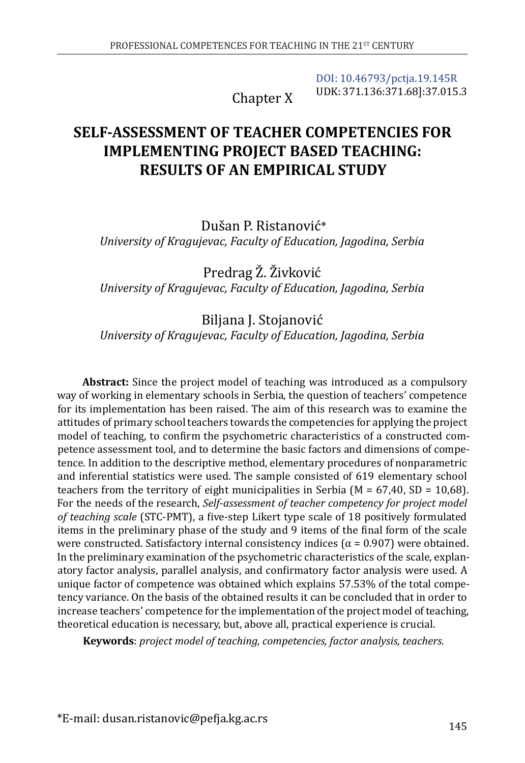Chapter X

[DOI: 10.46793/pctja.19.145R](https://doi.org/10.46793/pctja.19.145R) UDK: 371.136:371.68]:37.015.3

# **SELF-ASSESSMENT OF TEACHER COMPETENCIES FOR IMPLEMENTING PROJECT BASED TEACHING: RESULTS OF AN EMPIRICAL STUDY**

Dušan P. Ristanović\* *University of Kragujevac, Faculty of Education, Jagodina, Serbia*

Predrag Ž. Živković *University of Kragujevac, Faculty of Education, Jagodina, Serbia*

## Biljana J. Stojanović *University of Kragujevac, Faculty of Education, Jagodina, Serbia*

**Abstract:** Since the project model of teaching was introduced as a compulsory way of working in elementary schools in Serbia, the question of teachers' competence for its implementation has been raised. The aim of this research was to examine the attitudes of primary school teachers towards the competencies for applying the project model of teaching, to confirm the psychometric characteristics of a constructed competence assessment tool, and to determine the basic factors and dimensions of competence. In addition to the descriptive method, elementary procedures of nonparametric and inferential statistics were used. The sample consisted of 619 elementary school teachers from the territory of eight municipalities in Serbia ( $M = 67,40$ , SD = 10,68). For the needs of the research, *Self-assessment of teacher competency for project model of teaching scale* (STC-PMT), a five-step Likert type scale of 18 positively formulated items in the preliminary phase of the study and 9 items of the final form of the scale were constructed. Satisfactory internal consistency indices ( $\alpha$  = 0.907) were obtained. In the preliminary examination of the psychometric characteristics of the scale, explanatory factor analysis, parallel analysis, and confirmatory factor analysis were used. A unique factor of competence was obtained which explains 57.53% of the total competency variance. On the basis of the obtained results it can be concluded that in order to increase teachers' competence for the implementation of the project model of teaching, theoretical education is necessary, but, above all, practical experience is crucial.

**Keywords**: *project model of teaching, competencies, factor analysis, teachers.*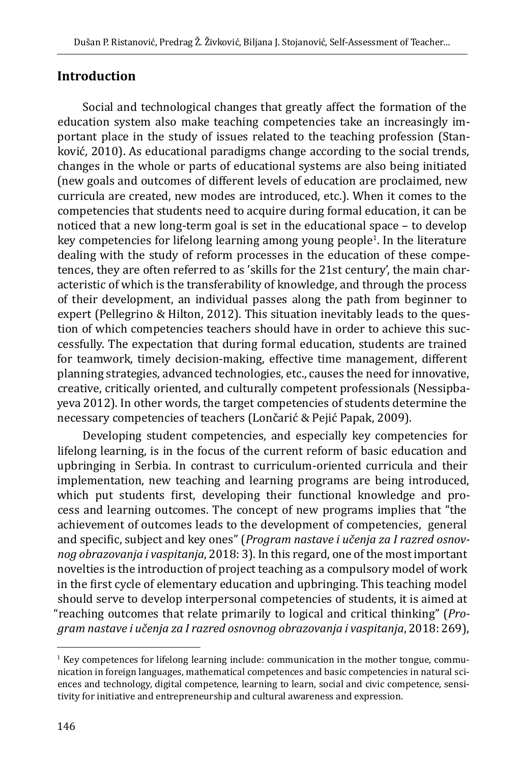## **Introduction**

Social and technological changes that greatly affect the formation of the education system also make teaching competencies take an increasingly important place in the study of issues related to the teaching profession (Stanković, 2010). As educational paradigms change according to the social trends, changes in the whole or parts of educational systems are also being initiated (new goals and outcomes of different levels of education are proclaimed, new curricula are created, new modes are introduced, etc.). When it comes to the competencies that students need to acquire during formal education, it can be noticed that a new long-term goal is set in the educational space – to develop key competencies for lifelong learning among young people<sup>1</sup>. In the literature dealing with the study of reform processes in the education of these competences, they are often referred to as 'skills for the 21st century', the main characteristic of which is the transferability of knowledge, and through the process of their development, an individual passes along the path from beginner to expert (Pellegrino & Hilton, 2012). This situation inevitably leads to the question of which competencies teachers should have in order to achieve this successfully. The expectation that during formal education, students are trained for teamwork, timely decision-making, effective time management, different planning strategies, advanced technologies, etc., causes the need for innovative, creative, critically oriented, and culturally competent professionals (Nessipbayeva 2012). In other words, the target competencies of students determine the necessary competencies of teachers (Lončarić & Pejić Papak, 2009).

Developing student competencies, and especially key competencies for lifelong learning, is in the focus of the current reform of basic education and upbringing in Serbia. In contrast to curriculum-oriented curricula and their implementation, new teaching and learning programs are being introduced, which put students first, developing their functional knowledge and process and learning outcomes. The concept of new programs implies that "the achievement of outcomes leads to the development of competencies, general and specific, subject and key ones" (*Program nastave i učenja za I razred osnovnog obrazovanja i vaspitanja*, 2018: 3). In this regard, one of the most important novelties is the introduction of project teaching as a compulsory model of work in the first cycle of elementary education and upbringing. This teaching model should serve to develop interpersonal competencies of students, it is aimed at "reaching outcomes that relate primarily to logical and critical thinking" (*Program nastave i učenja za I razred osnovnog obrazovanja i vaspitanja*, 2018: 269),

<sup>&</sup>lt;sup>1</sup> Key competences for lifelong learning include: communication in the mother tongue, communication in foreign languages, mathematical competences and basic competencies in natural sciences and technology, digital competence, learning to learn, social and civic competence, sensitivity for initiative and entrepreneurship and cultural awareness and expression.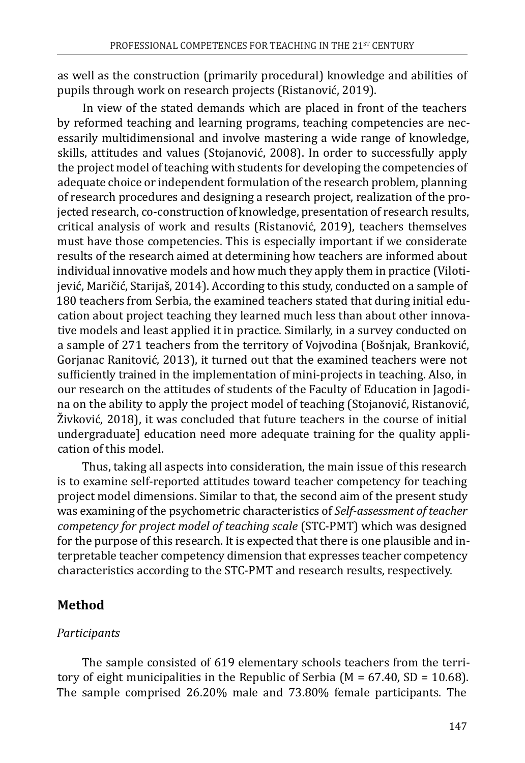as well as the construction (primarily procedural) knowledge and abilities of pupils through work on research projects (Ristanović, 2019).

In view of the stated demands which are placed in front of the teachers by reformed teaching and learning programs, teaching competencies are necessarily multidimensional and involve mastering a wide range of knowledge, skills, attitudes and values (Stojanović, 2008). In order to successfully apply the project model of teaching with students for developing the competencies of adequate choice or independent formulation of the research problem, planning of research procedures and designing a research project, realization of the projected research, co-construction of knowledge, presentation of research results, critical analysis of work and results (Ristanović, 2019), teachers themselves must have those competencies. This is especially important if we considerate results of the research aimed at determining how teachers are informed about individual innovative models and how much they apply them in practice (Vilotijević, Maričić, Starijaš, 2014). According to this study, conducted on a sample of 180 teachers from Serbia, the examined teachers stated that during initial education about project teaching they learned much less than about other innovative models and least applied it in practice. Similarly, in a survey conducted on a sample of 271 teachers from the territory of Vojvodina (Bošnjak, Branković, Gorjanac Ranitović, 2013), it turned out that the examined teachers were not sufficiently trained in the implementation of mini-projects in teaching. Also, in our research on the attitudes of students of the Faculty of Education in Jagodina on the ability to apply the project model of teaching (Stojanović, Ristanović, Živković, 2018), it was concluded that future teachers in the course of initial undergraduate] education need more adequate training for the quality application of this model.

Thus, taking all aspects into consideration, the main issue of this research is to examine self-reported attitudes toward teacher competency for teaching project model dimensions. Similar to that, the second aim of the present study was examining of the psychometric characteristics of *Self-assessment of teacher competency for project model of teaching scale* (STC-PMT) which was designed for the purpose of this research. It is expected that there is one plausible and interpretable teacher competency dimension that expresses teacher competency characteristics according to the STC-PMT and research results, respectively.

## **Method**

## *Participants*

The sample consisted of 619 elementary schools teachers from the territory of eight municipalities in the Republic of Serbia ( $M = 67.40$ , SD = 10.68). The sample comprised 26.20% male and 73.80% female participants. The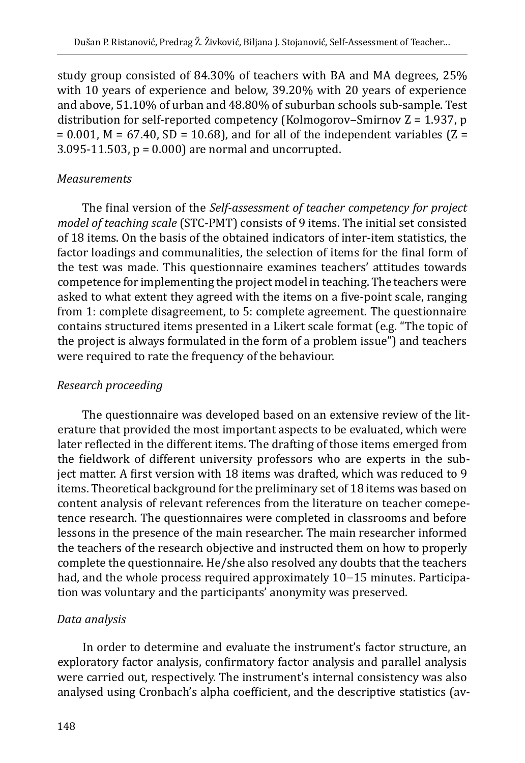study group consisted of 84.30% of teachers with BA and MA degrees, 25% with 10 years of experience and below, 39.20% with 20 years of experience and above, 51.10% of urban and 48.80% of suburban schools sub-sample. Test distribution for self-reported competency (Kolmogorov–Smirnov  $Z = 1.937$ , p  $= 0.001$ , M = 67.40, SD = 10.68), and for all of the independent variables (Z =  $3.095-11.503$ ,  $p = 0.000$ ) are normal and uncorrupted.

#### *Measurements*

The final version of the *Self-assessment of teacher competency for project model of teaching scale* (STC-PMT) consists of 9 items. The initial set consisted of 18 items. On the basis of the obtained indicators of inter-item statistics, the factor loadings and communalities, the selection of items for the final form of the test was made. This questionnaire examines teachers' attitudes towards competence for implementing the project model in teaching. The teachers were asked to what extent they agreed with the items on a five-point scale, ranging from 1: complete disagreement, to 5: complete agreement. The questionnaire contains structured items presented in a Likert scale format (e.g. "The topic of the project is always formulated in the form of a problem issue") and teachers were required to rate the frequency of the behaviour.

#### *Research proceeding*

The questionnaire was developed based on an extensive review of the literature that provided the most important aspects to be evaluated, which were later reflected in the different items. The drafting of those items emerged from the fieldwork of different university professors who are experts in the subject matter. A first version with 18 items was drafted, which was reduced to 9 items. Theoretical background for the preliminary set of 18 items was based on content analysis of relevant references from the literature on teacher comepetence research. The questionnaires were completed in classrooms and before lessons in the presence of the main researcher. The main researcher informed the teachers of the research objective and instructed them on how to properly complete the questionnaire. He/she also resolved any doubts that the teachers had, and the whole process required approximately 10−15 minutes. Participation was voluntary and the participants' anonymity was preserved.

### *Data analysis*

In order to determine and evaluate the instrument's factor structure, an exploratory factor analysis, confirmatory factor analysis and parallel analysis were carried out, respectively. The instrument's internal consistency was also analysed using Cronbach's alpha coefficient, and the descriptive statistics (av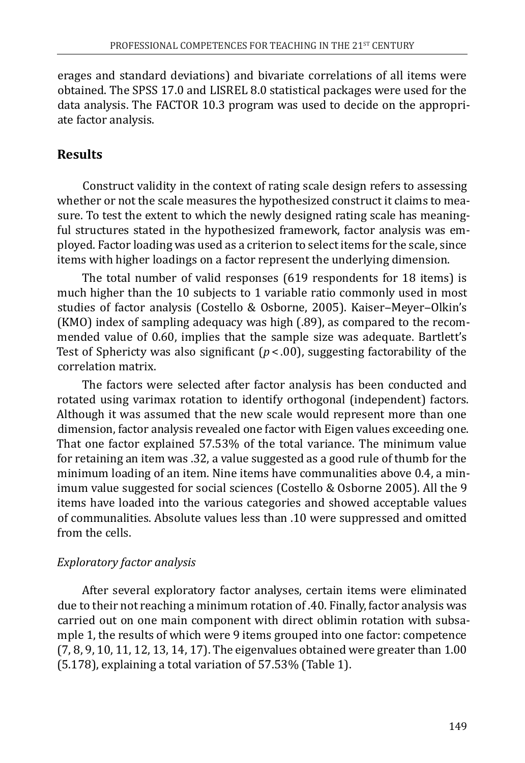erages and standard deviations) and bivariate correlations of all items were obtained. The SPSS 17.0 and LISREL 8.0 statistical packages were used for the data analysis. The FACTOR 10.3 program was used to decide on the appropriate factor analysis.

## **Results**

Construct validity in the context of rating scale design refers to assessing whether or not the scale measures the hypothesized construct it claims to measure. To test the extent to which the newly designed rating scale has meaningful structures stated in the hypothesized framework, factor analysis was employed. Factor loading was used as a criterion to select items for the scale, since items with higher loadings on a factor represent the underlying dimension.

The total number of valid responses (619 respondents for 18 items) is much higher than the 10 subjects to 1 variable ratio commonly used in most studies of factor analysis (Costello & Osborne, 2005). Kaiser-Meyer-Olkin's (KMO) index of sampling adequacy was high (.89), as compared to the recommended value of 0.60, implies that the sample size was adequate. Bartlett's Test of Sphericty was also significant  $(p < .00)$ , suggesting factorability of the correlation matrix.

The factors were selected after factor analysis has been conducted and rotated using varimax rotation to identify orthogonal (independent) factors. Although it was assumed that the new scale would represent more than one dimension, factor analysis revealed one factor with Eigen values exceeding one. That one factor explained 57.53% of the total variance. The minimum value for retaining an item was .32, a value suggested as a good rule of thumb for the minimum loading of an item. Nine items have communalities above 0.4, a minimum value suggested for social sciences (Costello & Osborne 2005). All the 9 items have loaded into the various categories and showed acceptable values of communalities. Absolute values less than .10 were suppressed and omitted from the cells.

### *Exploratory factor analysis*

After several exploratory factor analyses, certain items were eliminated due to their not reaching a minimum rotation of .40. Finally, factor analysis was carried out on one main component with direct oblimin rotation with subsample 1, the results of which were 9 items grouped into one factor: competence (7, 8, 9, 10, 11, 12, 13, 14, 17). The eigenvalues obtained were greater than 1.00 (5.178), explaining a total variation of 57.53% (Table 1).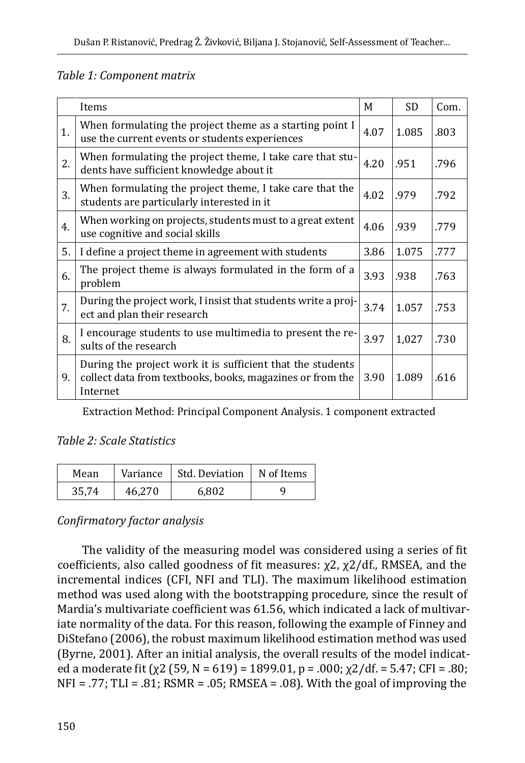#### *Table 1: Component matrix*

|    | Items                                                                                                                               | M    | <b>SD</b> | Com. |
|----|-------------------------------------------------------------------------------------------------------------------------------------|------|-----------|------|
| 1. | When formulating the project theme as a starting point I<br>use the current events or students experiences                          | 4.07 | 1.085     | .803 |
| 2. | When formulating the project theme, I take care that stu-<br>dents have sufficient knowledge about it                               | 4.20 | .951      | .796 |
| 3. | When formulating the project theme, I take care that the<br>students are particularly interested in it                              | 4.02 | .979      | .792 |
| 4. | When working on projects, students must to a great extent<br>use cognitive and social skills                                        | 4.06 | .939      | .779 |
| 5. | I define a project theme in agreement with students                                                                                 | 3.86 | 1.075     | .777 |
| 6. | The project theme is always formulated in the form of a<br>problem                                                                  | 3.93 | .938      | .763 |
| 7. | During the project work, I insist that students write a proj-<br>ect and plan their research                                        | 3.74 | 1.057     | .753 |
| 8. | I encourage students to use multimedia to present the re-<br>sults of the research                                                  | 3.97 | 1,027     | .730 |
| 9. | During the project work it is sufficient that the students<br>collect data from textbooks, books, magazines or from the<br>Internet | 3.90 | 1.089     | .616 |

Extraction Method: Principal Component Analysis. 1 component extracted

#### *Table 2: Scale Statistics*

| Mean  | Variance | Std. Deviation | $\parallel$ N of Items |
|-------|----------|----------------|------------------------|
| 35,74 | 46,270   | 6.802          | u                      |

### *Confirmatory factor analysis*

The validity of the measuring model was considered using a series of fit coefficients, also called goodness of fit measures: χ2, χ2/df., RMSEA, and the incremental indices (CFI, NFI and TLI). The maximum likelihood estimation method was used along with the bootstrapping procedure, since the result of Mardia's multivariate coefficient was 61.56, which indicated a lack of multivariate normality of the data. For this reason, following the example of Finney and DiStefano (2006), the robust maximum likelihood estimation method was used (Byrne, 2001). After an initial analysis, the overall results of the model indicated a moderate fit ( $\chi$ 2 (59, N = 619) = 1899.01, p = .000;  $\chi$ 2/df. = 5.47; CFI = .80;  $NFI = .77$ ; TLI = .81; RSMR = .05; RMSEA = .08). With the goal of improving the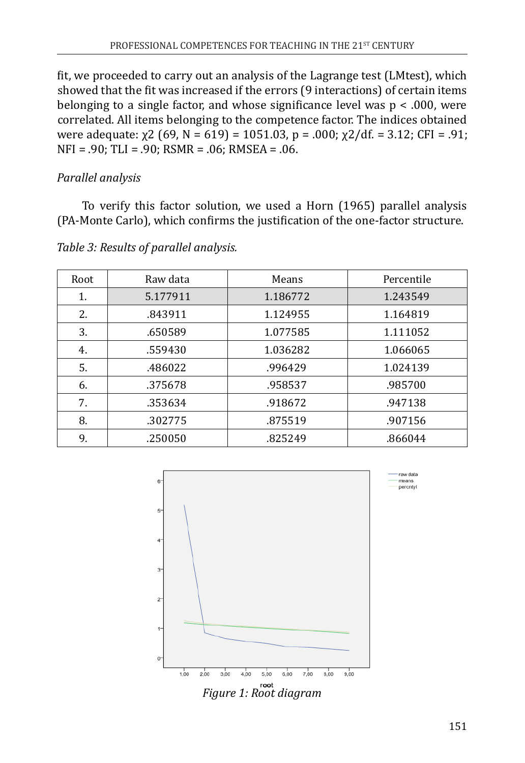fit, we proceeded to carry out an analysis of the Lagrange test (LMtest), which showed that the fit was increased if the errors (9 interactions) of certain items belonging to a single factor, and whose significance level was p < .000, were correlated. All items belonging to the competence factor. The indices obtained were adequate:  $\chi$ 2 (69, N = 619) = 1051.03, p = .000;  $\chi$ 2/df. = 3.12; CFI = .91; NFI = .90; TLI = .90; RSMR = .06; RMSEA = .06.

## *Parallel analysis*

To verify this factor solution, we used a Horn (1965) parallel analysis (PA-Monte Carlo), which confirms the justification of the one-factor structure.

| Root | Raw data | Means    | Percentile |  |
|------|----------|----------|------------|--|
| 1.   | 5.177911 | 1.186772 | 1.243549   |  |
| 2.   | .843911  | 1.124955 | 1.164819   |  |
| 3.   | .650589  | 1.077585 | 1.111052   |  |
| 4.   | .559430  | 1.036282 | 1.066065   |  |
| 5.   | .486022  | .996429  | 1.024139   |  |
| 6.   | .375678  | .958537  | .985700    |  |
| 7.   | .353634  | .918672  | .947138    |  |
| 8.   | .302775  | .875519  | .907156    |  |
| 9.   | .250050  | .825249  | .866044    |  |

*Table 3: Results of parallel analysis.*

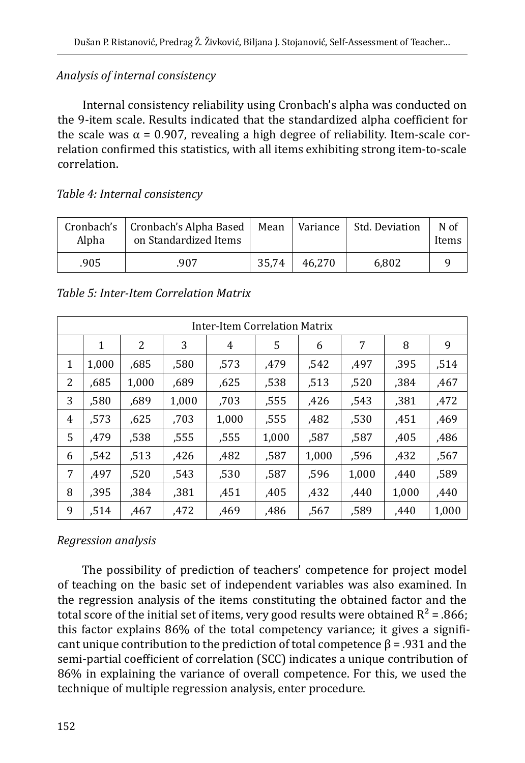#### *Analysis of internal consistency*

Internal consistency reliability using Cronbach's alpha was conducted on the 9-item scale. Results indicated that the standardized alpha coefficient for the scale was  $\alpha$  = 0.907, revealing a high degree of reliability. Item-scale correlation confirmed this statistics, with all items exhibiting strong item-to-scale correlation.

#### *Table 4: Internal consistency*

| Alpha | Cronbach's   Cronbach's Alpha Based   Mean<br>on Standardized Items |       |        | Variance   Std. Deviation | N of<br>Items |
|-------|---------------------------------------------------------------------|-------|--------|---------------------------|---------------|
| .905  | 907.                                                                | 35.74 | 46.270 | 6.802                     |               |

| Inter-Item Correlation Matrix |       |       |       |       |       |       |       |       |       |
|-------------------------------|-------|-------|-------|-------|-------|-------|-------|-------|-------|
|                               | 1     | 2     | 3     | 4     | 5     | 6     | 7     | 8     | 9     |
| 1                             | 1,000 | ,685  | ,580  | .573  | .479  | ,542  | .497  | ,395  | ,514  |
| 2                             | ,685  | 1,000 | ,689  | .625  | .538  | ,513  | ,520  | .384  | .467  |
| 3                             | ,580  | ,689  | 1,000 | .703  | .555  | .426  | .543  | .381  | .472  |
| 4                             | ,573  | ,625  | ,703  | 1,000 | ,555  | ,482  | ,530  | ,451  | ,469  |
| 5                             | .479  | ,538  | ,555  | ,555  | 1,000 | ,587  | ,587  | ,405  | ,486  |
| 6                             | ,542  | ,513  | ,426  | ,482  | ,587  | 1,000 | ,596  | ,432  | ,567  |
| 7                             | .497  | .520  | .543  | ,530  | .587  | ,596  | 1,000 | .440  | ,589  |
| 8                             | ,395  | ,384  | ,381  | .451  | .405  | .432  | .440  | 1,000 | ,440  |
| 9                             | ,514  | .467  | ,472  | ,469  | ,486  | .567  | ,589  | .440  | 1,000 |

#### *Table 5: Inter-Item Correlation Matrix*

#### *Regression analysis*

The possibility of prediction of teachers' competence for project model of teaching on the basic set of independent variables was also examined. In the regression analysis of the items constituting the obtained factor and the total score of the initial set of items, very good results were obtained  $R^2 = .866$ ; this factor explains 86% of the total competency variance; it gives a significant unique contribution to the prediction of total competence  $\beta$  = .931 and the semi-partial coefficient of correlation (SCC) indicates a unique contribution of 86% in explaining the variance of overall competence. For this, we used the technique of multiple regression analysis, enter procedure.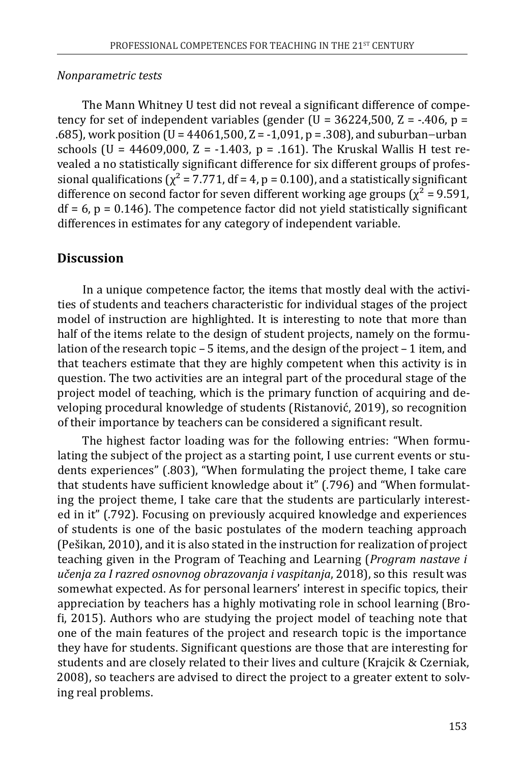#### *Nonparametric tests*

The Mann Whitney U test did not reveal a significant difference of competency for set of independent variables (gender (U =  $36224,500$ , Z =  $-406$ , p = .685), work position (U = 44061,500, Z = -1,091, p = .308), and suburban−urban schools (U = 44609,000, Z = -1.403, p = .161). The Kruskal Wallis H test revealed a no statistically significant difference for six different groups of professional qualifications ( $\chi^2$  = 7.771, df = 4, p = 0.100), and a statistically significant difference on second factor for seven different working age groups ( $\chi^2$  = 9.591,  $df = 6$ ,  $p = 0.146$ ). The competence factor did not yield statistically significant differences in estimates for any category of independent variable.

## **Discussion**

In a unique competence factor, the items that mostly deal with the activities of students and teachers characteristic for individual stages of the project model of instruction are highlighted. It is interesting to note that more than half of the items relate to the design of student projects, namely on the formulation of the research topic – 5 items, and the design of the project – 1 item, and that teachers estimate that they are highly competent when this activity is in question. The two activities are an integral part of the procedural stage of the project model of teaching, which is the primary function of acquiring and developing procedural knowledge of students (Ristanović, 2019), so recognition of their importance by teachers can be considered a significant result.

The highest factor loading was for the following entries: "When formulating the subject of the project as a starting point, I use current events or students experiences" (.803), "When formulating the project theme, I take care that students have sufficient knowledge about it" (.796) and "When formulating the project theme, I take care that the students are particularly interested in it" (.792). Focusing on previously acquired knowledge and experiences of students is one of the basic postulates of the modern teaching approach (Pešikan, 2010), and it is also stated in the instruction for realization of project teaching given in the Program of Teaching and Learning (*Program nastave i učenja za I razred osnovnog obrazovanja i vaspitanja*, 2018), so this result was somewhat expected. As for personal learners' interest in specific topics, their appreciation by teachers has a highly motivating role in school learning (Brofi, 2015). Authors who are studying the project model of teaching note that one of the main features of the project and research topic is the importance they have for students. Significant questions are those that are interesting for students and are closely related to their lives and culture (Krajcik & Czerniak, 2008), so teachers are advised to direct the project to a greater extent to solving real problems.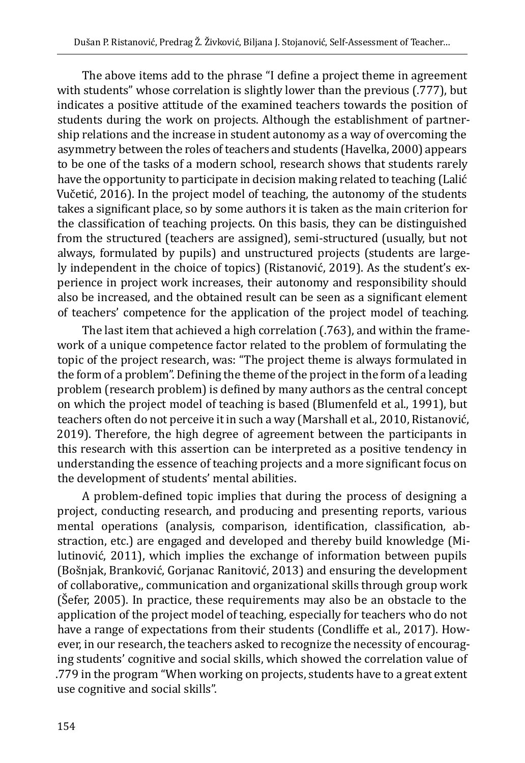The above items add to the phrase "I define a project theme in agreement with students" whose correlation is slightly lower than the previous (.777), but indicates a positive attitude of the examined teachers towards the position of students during the work on projects. Although the establishment of partnership relations and the increase in student autonomy as a way of overcoming the asymmetry between the roles of teachers and students (Havelka, 2000) appears to be one of the tasks of a modern school, research shows that students rarely have the opportunity to participate in decision making related to teaching (Lalić Vučetić, 2016). In the project model of teaching, the autonomy of the students takes a significant place, so by some authors it is taken as the main criterion for the classification of teaching projects. On this basis, they can be distinguished from the structured (teachers are assigned), semi-structured (usually, but not always, formulated by pupils) and unstructured projects (students are largely independent in the choice of topics) (Ristanović, 2019). As the student's experience in project work increases, their autonomy and responsibility should also be increased, and the obtained result can be seen as a significant element of teachers' competence for the application of the project model of teaching.

The last item that achieved a high correlation (.763), and within the framework of a unique competence factor related to the problem of formulating the topic of the project research, was: "The project theme is always formulated in the form of a problem". Defining the theme of the project in the form of a leading problem (research problem) is defined by many authors as the central concept on which the project model of teaching is based (Blumenfeld et al., 1991), but teachers often do not perceive it in such a way (Marshall et al., 2010, Ristanović, 2019). Therefore, the high degree of agreement between the participants in this research with this assertion can be interpreted as a positive tendency in understanding the essence of teaching projects and a more significant focus on the development of students' mental abilities.

A problem-defined topic implies that during the process of designing a project, conducting research, and producing and presenting reports, various mental operations (analysis, comparison, identification, classification, abstraction, etc.) are engaged and developed and thereby build knowledge (Milutinović, 2011), which implies the exchange of information between pupils (Bošnjak, Branković, Gorjanac Ranitović, 2013) and ensuring the development of collaborative,, communication and organizational skills through group work (Šefer, 2005). In practice, these requirements may also be an obstacle to the application of the project model of teaching, especially for teachers who do not have a range of expectations from their students (Condliffe et al., 2017). However, in our research, the teachers asked to recognize the necessity of encouraging students' cognitive and social skills, which showed the correlation value of .779 in the program "When working on projects, students have to a great extent use cognitive and social skills".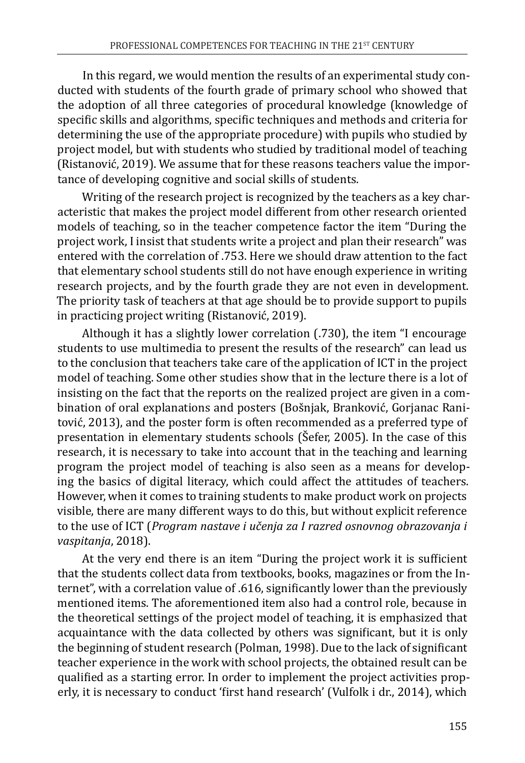In this regard, we would mention the results of an experimental study conducted with students of the fourth grade of primary school who showed that the adoption of all three categories of procedural knowledge (knowledge of specific skills and algorithms, specific techniques and methods and criteria for determining the use of the appropriate procedure) with pupils who studied by project model, but with students who studied by traditional model of teaching (Ristanović, 2019). We assume that for these reasons teachers value the importance of developing cognitive and social skills of students.

Writing of the research project is recognized by the teachers as a key characteristic that makes the project model different from other research oriented models of teaching, so in the teacher competence factor the item "During the project work, I insist that students write a project and plan their research" was entered with the correlation of .753. Here we should draw attention to the fact that elementary school students still do not have enough experience in writing research projects, and by the fourth grade they are not even in development. The priority task of teachers at that age should be to provide support to pupils in practicing project writing (Ristanović, 2019).

Although it has a slightly lower correlation (.730), the item "I encourage students to use multimedia to present the results of the research" can lead us to the conclusion that teachers take care of the application of ICT in the project model of teaching. Some other studies show that in the lecture there is a lot of insisting on the fact that the reports on the realized project are given in a combination of oral explanations and posters (Bošnjak, Branković, Gorjanac Ranitović, 2013), and the poster form is often recommended as a preferred type of presentation in elementary students schools (Šefer, 2005). In the case of this research, it is necessary to take into account that in the teaching and learning program the project model of teaching is also seen as a means for developing the basics of digital literacy, which could affect the attitudes of teachers. However, when it comes to training students to make product work on projects visible, there are many different ways to do this, but without explicit reference to the use of ICT (*Program nastave i učenja za I razred osnovnog obrazovanja i vaspitanja*, 2018).

At the very end there is an item "During the project work it is sufficient that the students collect data from textbooks, books, magazines or from the Internet", with a correlation value of .616, significantly lower than the previously mentioned items. The aforementioned item also had a control role, because in the theoretical settings of the project model of teaching, it is emphasized that acquaintance with the data collected by others was significant, but it is only the beginning of student research (Polman, 1998). Due to the lack of significant teacher experience in the work with school projects, the obtained result can be qualified as a starting error. In order to implement the project activities properly, it is necessary to conduct 'first hand research' (Vulfolk i dr., 2014), which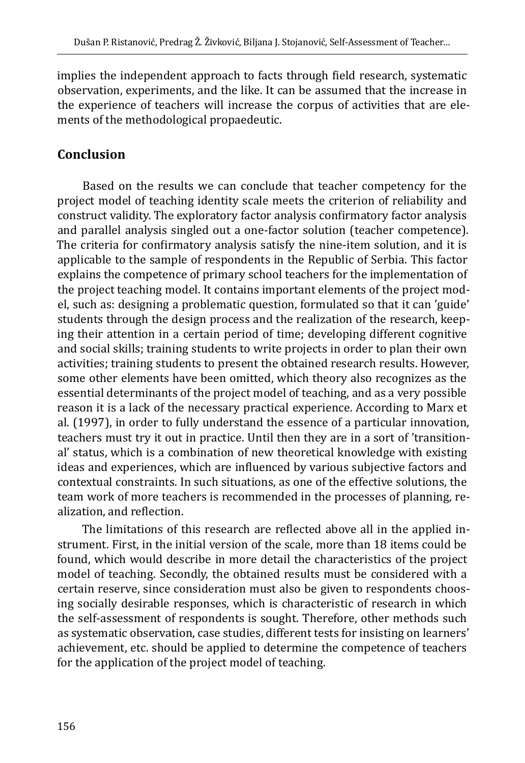implies the independent approach to facts through field research, systematic observation, experiments, and the like. It can be assumed that the increase in the experience of teachers will increase the corpus of activities that are elements of the methodological propaedeutic.

## **Conclusion**

Based on the results we can conclude that teacher competency for the project model of teaching identity scale meets the criterion of reliability and construct validity. The exploratory factor analysis confirmatory factor analysis and parallel analysis singled out a one-factor solution (teacher competence). The criteria for confirmatory analysis satisfy the nine-item solution, and it is applicable to the sample of respondents in the Republic of Serbia. This factor explains the competence of primary school teachers for the implementation of the project teaching model. It contains important elements of the project model, such as: designing a problematic question, formulated so that it can 'guide' students through the design process and the realization of the research, keeping their attention in a certain period of time; developing different cognitive and social skills; training students to write projects in order to plan their own activities; training students to present the obtained research results. However, some other elements have been omitted, which theory also recognizes as the essential determinants of the project model of teaching, and as a very possible reason it is a lack of the necessary practical experience. According to Marx et al. (1997), in order to fully understand the essence of a particular innovation, teachers must try it out in practice. Until then they are in a sort of 'transitional' status, which is a combination of new theoretical knowledge with existing ideas and experiences, which are influenced by various subjective factors and contextual constraints. In such situations, as one of the effective solutions, the team work of more teachers is recommended in the processes of planning, realization, and reflection.

The limitations of this research are reflected above all in the applied instrument. First, in the initial version of the scale, more than 18 items could be found, which would describe in more detail the characteristics of the project model of teaching. Secondly, the obtained results must be considered with a certain reserve, since consideration must also be given to respondents choosing socially desirable responses, which is characteristic of research in which the self-assessment of respondents is sought. Therefore, other methods such as systematic observation, case studies, different tests for insisting on learners' achievement, etc. should be applied to determine the competence of teachers for the application of the project model of teaching.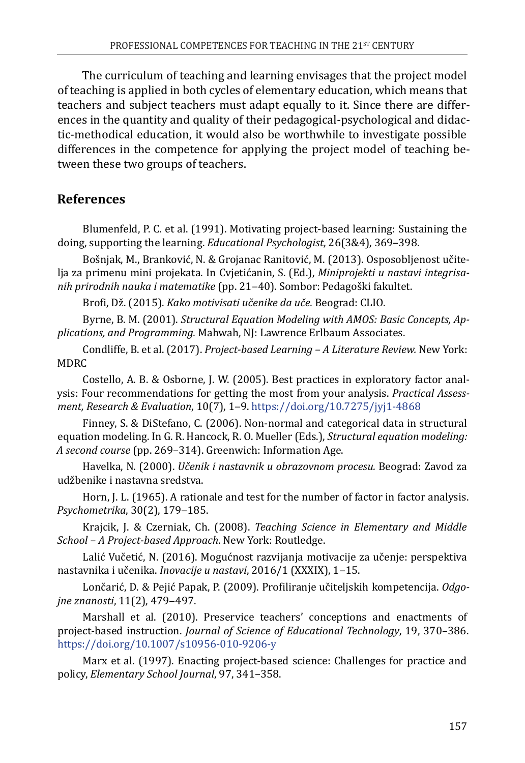The curriculum of teaching and learning envisages that the project model of teaching is applied in both cycles of elementary education, which means that teachers and subject teachers must adapt equally to it. Since there are differences in the quantity and quality of their pedagogical-psychological and didactic-methodical education, it would also be worthwhile to investigate possible differences in the competence for applying the project model of teaching between these two groups of teachers.

## **References**

Blumenfeld, P. C. et al. (1991). Motivating project-based learning: Sustaining the doing, supporting the learning. *Educational Psychologist*, 26(3&4), 369–398.

Bošnjak, M., Branković, N. & Grojanac Ranitović, M. (2013). Osposobljenost učitelja za primenu mini projekata. In Cvjetićanin, S. (Ed.), *Miniprojekti u nastavi integrisanih prirodnih nauka i matematike* (pp. 21‒40). Sombor: Pedagoški fakultet.

Brofi, Dž. (2015). *Kako motivisati učenike da uče.* Beograd: CLIO.

Byrne, B. M. (2001). *Structural Equation Modeling with AMOS: Basic Concepts, Applications, and Programming.* Mahwah, NJ: Lawrence Erlbaum Associates.

Condliffe, B. et al. (2017). *Project-based Learning – A Literature Review.* New York: MDRC

Costello, A. B. & Osborne, J. W. (2005). Best practices in exploratory factor analysis: Four recommendations for getting the most from your analysis. *Practical Assessment, Research & Evaluation*, 10(7), 1‒9.<https://doi.org/10.7275/jyj1-4868>

Finney, S. & DiStefano, C. (2006). Non-normal and categorical data in structural equation modeling. In G. R. Hancock, R. O. Mueller (Eds.), *Structural equation modeling: A second course* (pp. 269–314). Greenwich: Information Age.

Havelka, N. (2000). *Učenik i nastavnik u obrazovnom procesu.* Beograd: Zavod za udžbenike i nastavna sredstva.

Horn, J. L. (1965). A rationale and test for the number of factor in factor analysis. *Psychometrika*, 30(2), 179‒185.

Krajcik, J. & Czerniak, Ch. (2008). *Teaching Science in Elementary and Middle School – A Project-based Approach*. New York: Routledge.

Lalić Vučetić, N. (2016). Mogućnost razvijanja motivacije za učenje: perspektiva nastavnika i učenika. *Inovacije u nastavi*, 2016/1 (XXXIX), 1‒15.

Lončarić, D. & Pejić Papak, P. (2009). Profiliranje učiteljskih kompetencija. *Odgojne znanosti*, 11(2), 479‒497.

Marshall et al. (2010). Preservice teachers' conceptions and enactments of project-based instruction. *Journal of Science of Educational Technology*, 19, 370–386. <https://doi.org/10.1007/s10956-010-9206-y>

Marx et al. (1997). Enacting project-based science: Challenges for practice and policy, *Elementary School Journal*, 97, 341–358.